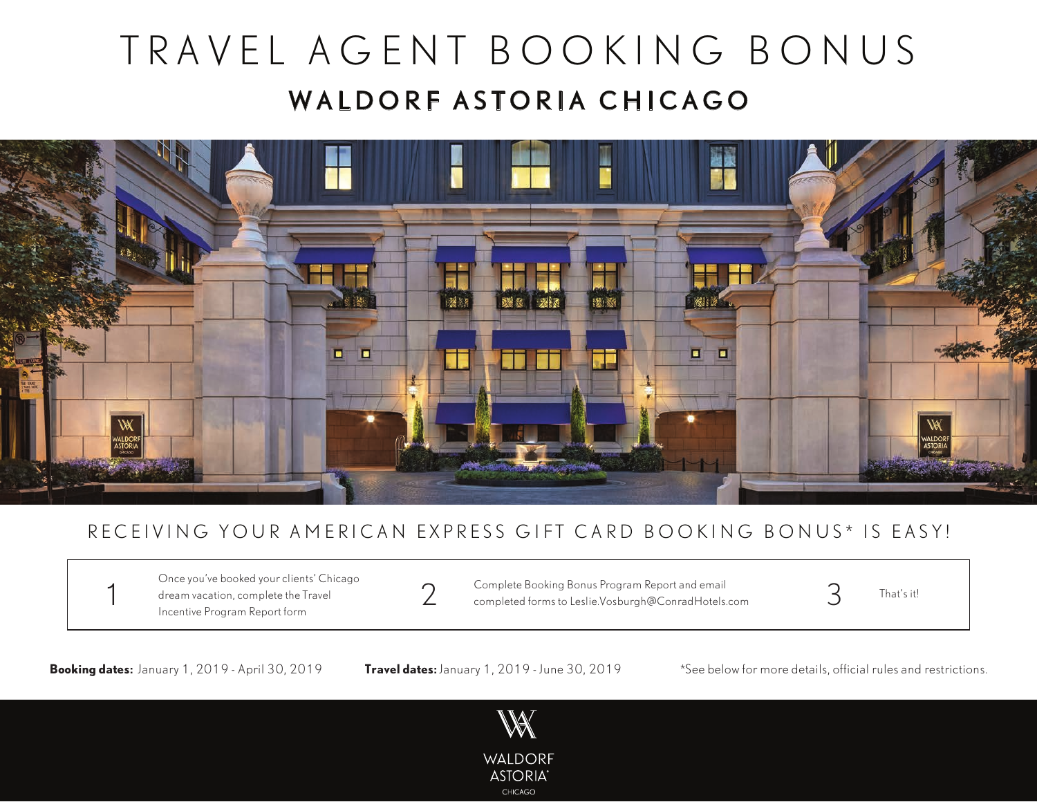# TRAVEL AGENT BOOKING BONUS WALDORF ASTORIA CHICAGO



### RECEIVING YOUR AMERICAN EXPRESS GIFT CARD BOOKING BONUS\* IS EASY!

Once you've booked your clients' Chicago dream vacation, complete the Travel Incentive Program Report form

Complete Booking Bonus Program Report and email  $\overline{2}$  Complete Booking Bonus Program Report and email<br>2 completed forms to Leslie.Vosburgh@ConradHotels.com 3 That's it!

**Booking dates:** January 1, 2019 - April 30, 2019 **Travel dates:** January 1, 2019 - June 30, 2019 \*See below for more details, official rules and restrictions.